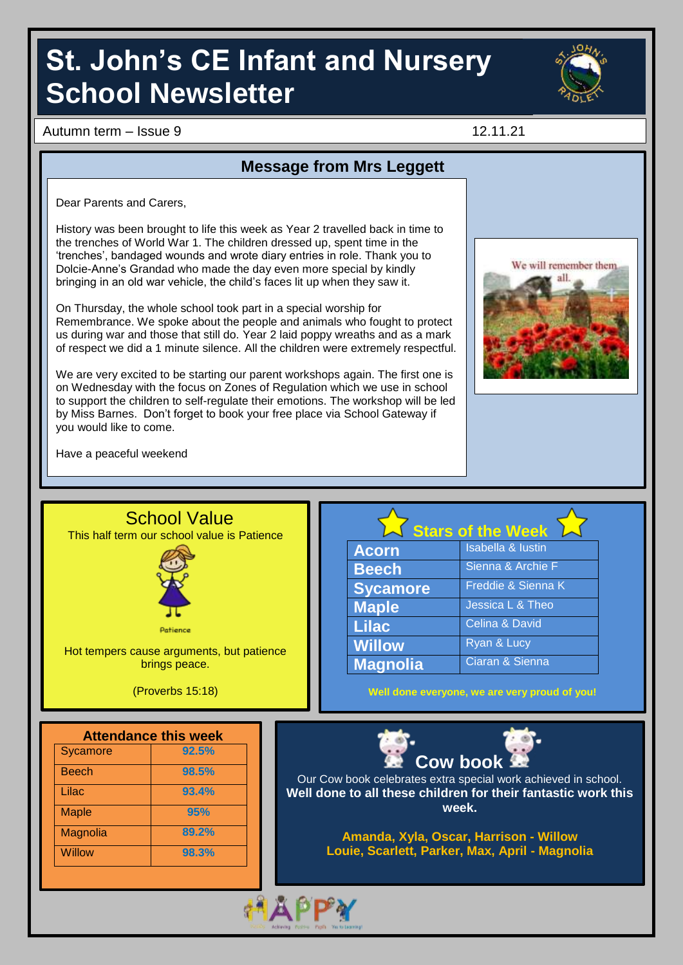# **St. John's CE Infant and Nursery School Newsletter**



Autumn term – Issue 9 12.11.21

### **Message from Mrs Leggett**

Dear Parents and Carers,

History was been brought to life this week as Year 2 travelled back in time to the trenches of World War 1. The children dressed up, spent time in the 'trenches', bandaged wounds and wrote diary entries in role. Thank you to Dolcie-Anne's Grandad who made the day even more special by kindly bringing in an old war vehicle, the child's faces lit up when they saw it.

On Thursday, the whole school took part in a special worship for Remembrance. We spoke about the people and animals who fought to protect us during war and those that still do. Year 2 laid poppy wreaths and as a mark of respect we did a 1 minute silence. All the children were extremely respectful.

We are very excited to be starting our parent workshops again. The first one is on Wednesday with the focus on Zones of Regulation which we use in school to support the children to self-regulate their emotions. The workshop will be led by Miss Barnes. Don't forget to book your free place via School Gateway if you would like to come.



Have a peaceful weekend

Magnolia **89.2%** Willow **98.3%**



**Amanda, Xyla, Oscar, Harrison - Willow Louie, Scarlett, Parker, Max, April - Magnolia**

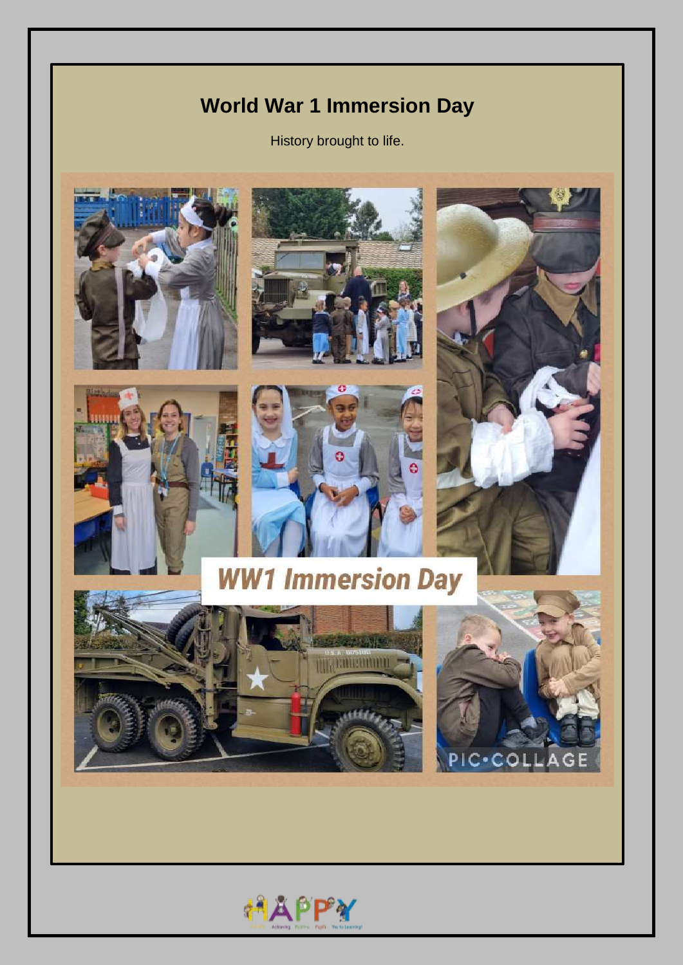## **World War 1 Immersion Day**

History brought to life.



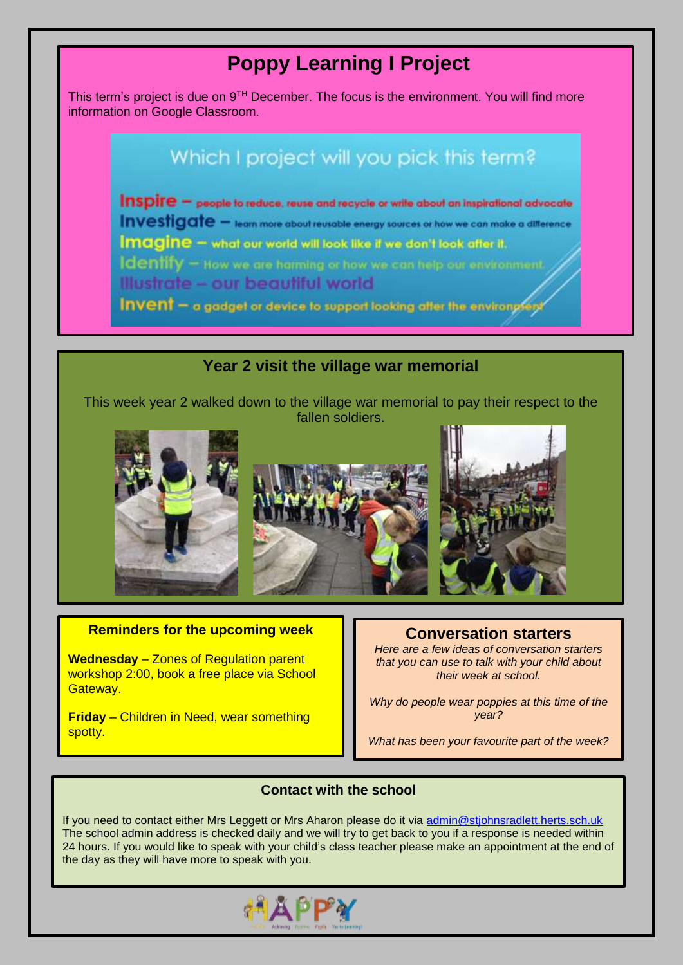## **Poppy Learning I Project**

This term's project is due on  $9<sup>TH</sup>$  December. The focus is the environment. You will find more information on Google Classroom.

## Which I project will you pick this term?

Inspire - people to reduce, reuse and recycle or write about an inspirational advocate Investigate - team more about reusable energy sources or how we can make a difference **Imagine - what our world will look like if we don't look after it. Identify** - How we are harming or how we can help our environment. Illustrate - our beautiful world

Invent - a gadget or device to support looking after the environglent

### **Year 2 visit the village war memorial**

This week year 2 walked down to the village war memorial to pay their respect to the fallen soldiers.







## **Reminders for the upcoming week Conversation starters**

**Wednesday** – Zones of Regulation parent workshop 2:00, book a free place via School Gateway.

**Friday** – Children in Need, wear something spotty.

*Here are a few ideas of conversation starters that you can use to talk with your child about their week at school.*

*Why do people wear poppies at this time of the year?*

*What has been your favourite part of the week?*

### **Contact with the school**

If you need to contact either Mrs Leggett or Mrs Aharon please do it via [admin@stjohnsradlett.herts.sch.uk](file:///E:/st%20johns/21%20-%2022/Newsletter/admin@stjohnsradlett.herts.sch.uk)  The school admin address is checked daily and we will try to get back to you if a response is needed within 24 hours. If you would like to speak with your child's class teacher please make an appointment at the end of the day as they will have more to speak with you.

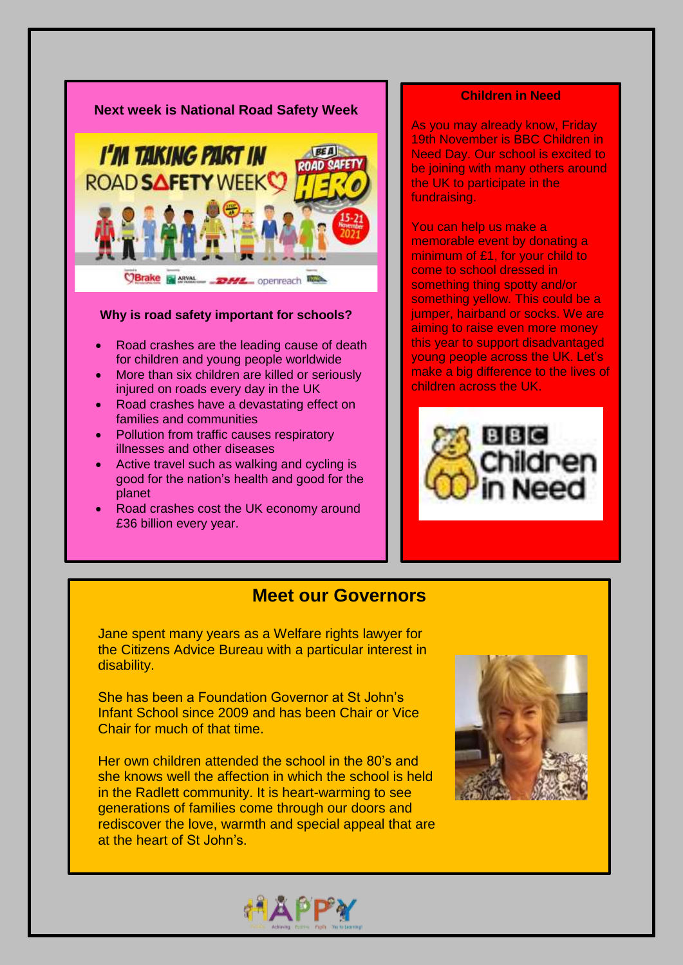

### **Why is road safety important for schools?**

- Road crashes are the leading cause of death for children and young people worldwide
- More than six children are killed or seriously injured on roads every day in the UK
- Road crashes have a devastating effect on families and communities
- Pollution from traffic causes respiratory illnesses and other diseases
- Active travel such as walking and cycling is good for the nation's health and good for the planet
- Road crashes cost the UK economy around £36 billion every year.

### **Children in Need**

As you may already know, Friday 19th November is BBC Children in Need Day. Our school is excited to be joining with many others around the UK to participate in the fundraising.

You can help us make a memorable event by donating a minimum of £1, for your child to come to school dressed in something thing spotty and/or something yellow. This could be a jumper, hairband or socks. We are aiming to raise even more money this year to support disadvantaged young people across the UK. Let's make a big difference to the lives of children across the UK.



### **Meet our Governors**

Jane spent many years as a Welfare rights lawyer for the Citizens Advice Bureau with a particular interest in disability.

She has been a Foundation Governor at St John's Infant School since 2009 and has been Chair or Vice Chair for much of that time.

Her own children attended the school in the 80's and she knows well the affection in which the school is held in the Radlett community. It is heart-warming to see generations of families come through our doors and rediscover the love, warmth and special appeal that are at the heart of St John's.